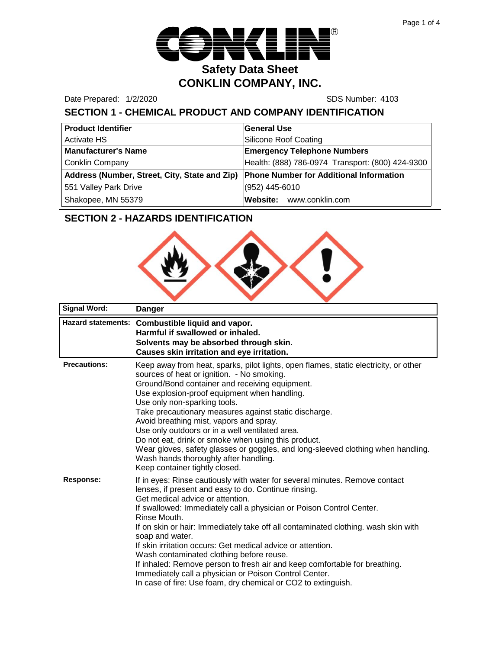

Date Prepared: 1/2/2020 SDS Number: 4103

# **SECTION 1 - CHEMICAL PRODUCT AND COMPANY IDENTIFICATION**

| <b>Product Identifier</b>                     | <b>General Use</b>                               |  |
|-----------------------------------------------|--------------------------------------------------|--|
| <b>Activate HS</b>                            | Silicone Roof Coating                            |  |
| <b>Manufacturer's Name</b>                    | <b>Emergency Telephone Numbers</b>               |  |
| <b>Conklin Company</b>                        | Health: (888) 786-0974 Transport: (800) 424-9300 |  |
| Address (Number, Street, City, State and Zip) | <b>Phone Number for Additional Information</b>   |  |
| 551 Valley Park Drive                         | $(952)$ 445-6010                                 |  |
| Shakopee, MN 55379                            | Website: www.conklin.com                         |  |

# **SECTION 2 - HAZARDS IDENTIFICATION**



| <b>Signal Word:</b>       | <b>Danger</b>                                                                                                                                                                                                                                                                                                                                                                                                                                                                                                                                                                                                                                                                                |
|---------------------------|----------------------------------------------------------------------------------------------------------------------------------------------------------------------------------------------------------------------------------------------------------------------------------------------------------------------------------------------------------------------------------------------------------------------------------------------------------------------------------------------------------------------------------------------------------------------------------------------------------------------------------------------------------------------------------------------|
| <b>Hazard statements:</b> | Combustible liquid and vapor.<br>Harmful if swallowed or inhaled.<br>Solvents may be absorbed through skin.<br>Causes skin irritation and eye irritation.                                                                                                                                                                                                                                                                                                                                                                                                                                                                                                                                    |
| <b>Precautions:</b>       | Keep away from heat, sparks, pilot lights, open flames, static electricity, or other<br>sources of heat or ignition. - No smoking.<br>Ground/Bond container and receiving equipment.<br>Use explosion-proof equipment when handling.<br>Use only non-sparking tools.<br>Take precautionary measures against static discharge.<br>Avoid breathing mist, vapors and spray.<br>Use only outdoors or in a well ventilated area.<br>Do not eat, drink or smoke when using this product.<br>Wear gloves, safety glasses or goggles, and long-sleeved clothing when handling.<br>Wash hands thoroughly after handling.<br>Keep container tightly closed.                                            |
| <b>Response:</b>          | If in eyes: Rinse cautiously with water for several minutes. Remove contact<br>lenses, if present and easy to do. Continue rinsing.<br>Get medical advice or attention.<br>If swallowed: Immediately call a physician or Poison Control Center.<br>Rinse Mouth.<br>If on skin or hair: Immediately take off all contaminated clothing. wash skin with<br>soap and water.<br>If skin irritation occurs: Get medical advice or attention.<br>Wash contaminated clothing before reuse.<br>If inhaled: Remove person to fresh air and keep comfortable for breathing.<br>Immediately call a physician or Poison Control Center.<br>In case of fire: Use foam, dry chemical or CO2 to extinguish. |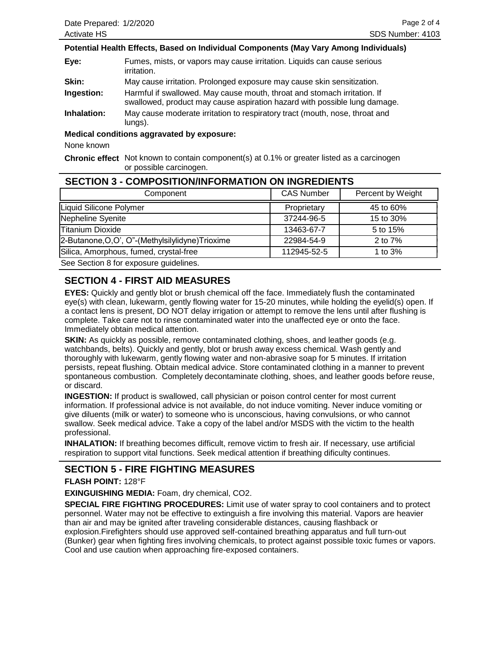#### **Potential Health Effects, Based on Individual Components (May Vary Among Individuals)**

**Eye:** Fumes, mists, or vapors may cause irritation. Liquids can cause serious irritation.

**Skin:** May cause irritation. Prolonged exposure may cause skin sensitization.

**Ingestion:** Harmful if swallowed. May cause mouth, throat and stomach irritation. If swallowed, product may cause aspiration hazard with possible lung damage.

**Inhalation:** May cause moderate irritation to respiratory tract (mouth, nose, throat and lungs).

**Medical conditions aggravated by exposure:**

None known

**Chronic effect** Not known to contain component(s) at 0.1% or greater listed as a carcinogen or possible carcinogen.

### **SECTION 3 - COMPOSITION/INFORMATION ON INGREDIENTS**

| Component                                         | <b>CAS Number</b> | Percent by Weight |
|---------------------------------------------------|-------------------|-------------------|
| Liquid Silicone Polymer                           | Proprietary       | 45 to 60%         |
| Nepheline Syenite                                 | 37244-96-5        | 15 to 30%         |
| <b>Titanium Dioxide</b>                           | 13463-67-7        | 5 to 15%          |
| 2-Butanone, O, O", O"-(Methylsilylidyne) Trioxime | 22984-54-9        | 2 to $7\%$        |
| Silica, Amorphous, fumed, crystal-free            | 112945-52-5       | 1 to 3%           |
|                                                   |                   |                   |

See Section 8 for exposure guidelines.

## **SECTION 4 - FIRST AID MEASURES**

**EYES:** Quickly and gently blot or brush chemical off the face. Immediately flush the contaminated eye(s) with clean, lukewarm, gently flowing water for 15-20 minutes, while holding the eyelid(s) open. If a contact lens is present, DO NOT delay irrigation or attempt to remove the lens until after flushing is complete. Take care not to rinse contaminated water into the unaffected eye or onto the face. Immediately obtain medical attention.

**SKIN:** As quickly as possible, remove contaminated clothing, shoes, and leather goods (e.g. watchbands, belts). Quickly and gently, blot or brush away excess chemical. Wash gently and thoroughly with lukewarm, gently flowing water and non-abrasive soap for 5 minutes. If irritation persists, repeat flushing. Obtain medical advice. Store contaminated clothing in a manner to prevent spontaneous combustion. Completely decontaminate clothing, shoes, and leather goods before reuse, or discard.

**INGESTION:** If product is swallowed, call physician or poison control center for most current information. If professional advice is not available, do not induce vomiting. Never induce vomiting or give diluents (milk or water) to someone who is unconscious, having convulsions, or who cannot swallow. Seek medical advice. Take a copy of the label and/or MSDS with the victim to the health professional.

**INHALATION:** If breathing becomes difficult, remove victim to fresh air. If necessary, use artificial respiration to support vital functions. Seek medical attention if breathing dificulty continues.

### **SECTION 5 - FIRE FIGHTING MEASURES**

**FLASH POINT:** 128°F

**EXINGUISHING MEDIA:** Foam, dry chemical, CO2.

**SPECIAL FIRE FIGHTING PROCEDURES:** Limit use of water spray to cool containers and to protect personnel. Water may not be effective to extinguish a fire involving this material. Vapors are heavier than air and may be ignited after traveling considerable distances, causing flashback or explosion.Firefighters should use approved self-contained breathing apparatus and full turn-out (Bunker) gear when fighting fires involving chemicals, to protect against possible toxic fumes or vapors. Cool and use caution when approaching fire-exposed containers.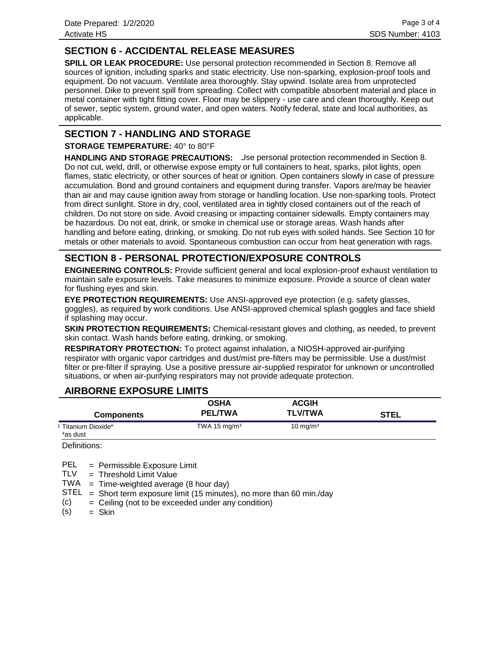## **SECTION 6 - ACCIDENTAL RELEASE MEASURES**

**SPILL OR LEAK PROCEDURE:** Use personal protection recommended in Section 8. Remove all sources of ignition, including sparks and static electricity. Use non-sparking, explosion-proof tools and equipment. Do not vacuum. Ventilate area thoroughly. Stay upwind. Isolate area from unprotected personnel. Dike to prevent spill from spreading. Collect with compatible absorbent material and place in metal container with tight fitting cover. Floor may be slippery - use care and clean thoroughly. Keep out of sewer, septic system, ground water, and open waters. Notify federal, state and local authorities, as applicable.

### **SECTION 7 - HANDLING AND STORAGE**

**STORAGE TEMPERATURE:** 40° to 80°F

**HANDLING AND STORAGE PRECAUTIONS:** Use personal protection recommended in Section 8. Do not cut, weld, drill, or otherwise expose empty or full containers to heat, sparks, pilot lights, open flames, static electricity, or other sources of heat or ignition. Open containers slowly in case of pressure accumulation. Bond and ground containers and equipment during transfer. Vapors are/may be heavier than air and may cause ignition away from storage or handling location. Use non-sparking tools. Protect from direct sunlight. Store in dry, cool, ventilated area in tightly closed containers out of the reach of children. Do not store on side. Avoid creasing or impacting container sidewalls. Empty containers may be hazardous. Do not eat, drink, or smoke in chemical use or storage areas. Wash hands after handling and before eating, drinking, or smoking. Do not rub eyes with soiled hands. See Section 10 for metals or other materials to avoid. Spontaneous combustion can occur from heat generation with rags.

## **SECTION 8 - PERSONAL PROTECTION/EXPOSURE CONTROLS**

**ENGINEERING CONTROLS:** Provide sufficient general and local explosion-proof exhaust ventilation to maintain safe exposure levels. Take measures to minimize exposure. Provide a source of clean water for flushing eyes and skin.

**EYE PROTECTION REQUIREMENTS:** Use ANSI-approved eye protection (e.g. safety glasses, goggles), as required by work conditions. Use ANSI-approved chemical splash goggles and face shield if splashing may occur.

**SKIN PROTECTION REQUIREMENTS:** Chemical-resistant gloves and clothing, as needed, to prevent skin contact. Wash hands before eating, drinking, or smoking.

**RESPIRATORY PROTECTION:** To protect against inhalation, a NIOSH-approved air-purifying respirator with organic vapor cartridges and dust/mist pre-filters may be permissible. Use a dust/mist filter or pre-filter if spraying. Use a positive pressure air-supplied respirator for unknown or uncontrolled situations, or when air-purifying respirators may not provide adequate protection.

### **AIRBORNE EXPOSURE LIMITS**

| <b>Components</b>             | <b>OSHA</b><br><b>PEL/TWA</b> | <b>ACGIH</b><br><b>TLV/TWA</b> | STEL |
|-------------------------------|-------------------------------|--------------------------------|------|
| Titanium Dioxide*<br>*as dust | TWA 15 $mg/m3$                | $10 \text{ mg/m}^3$            |      |

Definitions:

= Permissible Exposure Limit PEL

Threshold Limit Value = TLV

TWA = Time-weighted average (8 hour day)

 $STEL = Short term exposure limit (15 minutes), no more than 60 min./day$ 

Ceiling (not to be exceeded under any condition) = (c)

Skin = (s)